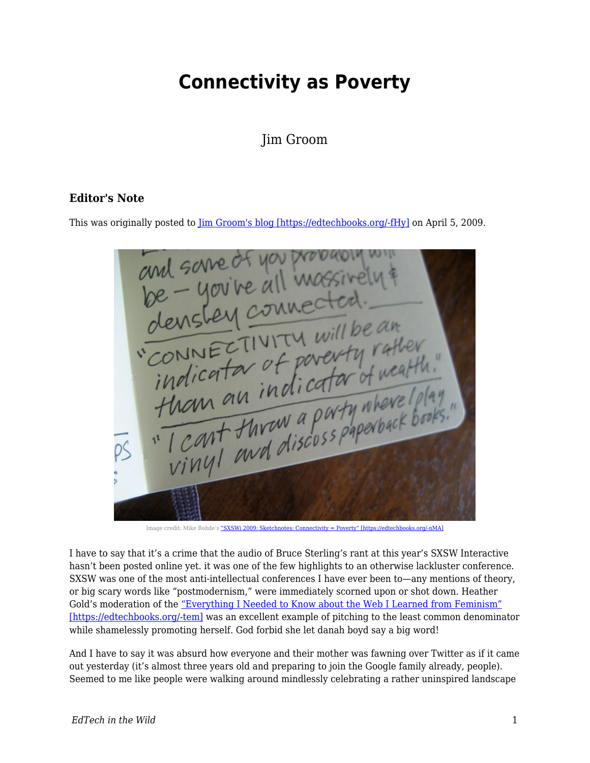## **Connectivity as Poverty**

Jim Groom

This was originally posted to *Jim Groom's blog [https://edtechbooks.org/-fHy]* on April 5, 2009.



Image credit: Mike Rohde's ["SXSWi 2009: Sketchnotes: Connectivity = Poverty" \[https://edtechbooks.org/-nMA\]](http://www.flickr.com/photos/rohdesign/3372945555/)

I have to say that it's a crime that the audio of Bruce Sterling's rant at this year's SXSW Interactive hasn't been posted online yet. it was one of the few highlights to an otherwise lackluster conference. SXSW was one of the most anti-intellectual conferences I have ever been to—any mentions of theory, or big scary words like "postmodernism," were immediately scorned upon or shot down. Heather Gold's moderation of the ["Everything I Needed to Know about the Web I Learned from Feminism"](http://panelpicker.sxsw.com/ideas/view/1886) [\[https://edtechbooks.org/-tem\]](http://panelpicker.sxsw.com/ideas/view/1886) was an excellent example of pitching to the least common denominator while shamelessly promoting herself. God forbid she let danah boyd say a big word!

And I have to say it was absurd how everyone and their mother was fawning over Twitter as if it came out yesterday (it's almost three years old and preparing to join the Google family already, people). Seemed to me like people were walking around mindlessly celebrating a rather uninspired landscape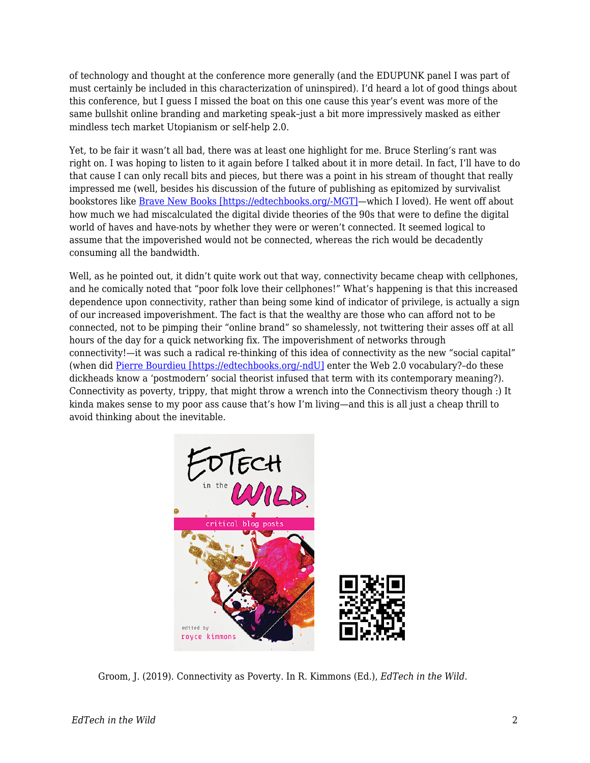of technology and thought at the conference more generally (and the EDUPUNK panel I was part of must certainly be included in this characterization of uninspired). I'd heard a lot of good things about this conference, but I guess I missed the boat on this one cause this year's event was more of the same bullshit online branding and marketing speak–just a bit more impressively masked as either mindless tech market Utopianism or self-help 2.0.

Yet, to be fair it wasn't all bad, there was at least one highlight for me. Bruce Sterling's rant was right on. I was hoping to listen to it again before I talked about it in more detail. In fact, I'll have to do that cause I can only recall bits and pieces, but there was a point in his stream of thought that really impressed me (well, besides his discussion of the future of publishing as epitomized by survivalist bookstores like [Brave New Books \[https://edtechbooks.org/-MGT\]—](http://www.bravenewbookstore.com/)which I loved). He went off about how much we had miscalculated the digital divide theories of the 90s that were to define the digital world of haves and have-nots by whether they were or weren't connected. It seemed logical to assume that the impoverished would not be connected, whereas the rich would be decadently consuming all the bandwidth.

Well, as he pointed out, it didn't quite work out that way, connectivity became cheap with cellphones, and he comically noted that "poor folk love their cellphones!" What's happening is that this increased dependence upon connectivity, rather than being some kind of indicator of privilege, is actually a sign of our increased impoverishment. The fact is that the wealthy are those who can afford not to be connected, not to be pimping their "online brand" so shamelessly, not twittering their asses off at all hours of the day for a quick networking fix. The impoverishment of networks through connectivity!—it was such a radical re-thinking of this idea of connectivity as the new "social capital" (when did [Pierre Bourdieu \[https://edtechbooks.org/-ndU\]](http://en.wikipedia.org/wiki/Pierre%20Bourdieu) enter the Web 2.0 vocabulary?-do these dickheads know a 'postmodern' social theorist infused that term with its contemporary meaning?). Connectivity as poverty, trippy, that might throw a wrench into the Connectivism theory though :) It kinda makes sense to my poor ass cause that's how I'm living—and this is all just a cheap thrill to avoid thinking about the inevitable.



Groom, J. (2019). Connectivity as Poverty. In R. Kimmons (Ed.), *EdTech in the Wild*.